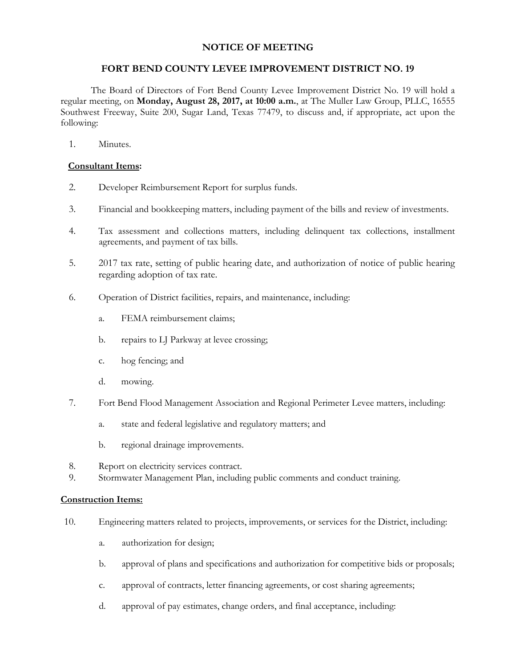## **NOTICE OF MEETING**

## **FORT BEND COUNTY LEVEE IMPROVEMENT DISTRICT NO. 19**

The Board of Directors of Fort Bend County Levee Improvement District No. 19 will hold a regular meeting, on **Monday, August 28, 2017, at 10:00 a.m.**, at The Muller Law Group, PLLC, 16555 Southwest Freeway, Suite 200, Sugar Land, Texas 77479, to discuss and, if appropriate, act upon the following:

1. Minutes.

## **Consultant Items:**

- 2. Developer Reimbursement Report for surplus funds.
- 3. Financial and bookkeeping matters, including payment of the bills and review of investments.
- 4. Tax assessment and collections matters, including delinquent tax collections, installment agreements, and payment of tax bills.
- 5. 2017 tax rate, setting of public hearing date, and authorization of notice of public hearing regarding adoption of tax rate.
- 6. Operation of District facilities, repairs, and maintenance, including:
	- a. FEMA reimbursement claims;
	- b. repairs to LJ Parkway at levee crossing;
	- c. hog fencing; and
	- d. mowing.
- 7. Fort Bend Flood Management Association and Regional Perimeter Levee matters, including:
	- a. state and federal legislative and regulatory matters; and
	- b. regional drainage improvements.
- 8. Report on electricity services contract.
- 9. Stormwater Management Plan, including public comments and conduct training.

## **Construction Items:**

- 10. Engineering matters related to projects, improvements, or services for the District, including:
	- a. authorization for design;
	- b. approval of plans and specifications and authorization for competitive bids or proposals;
	- c. approval of contracts, letter financing agreements, or cost sharing agreements;
	- d. approval of pay estimates, change orders, and final acceptance, including: